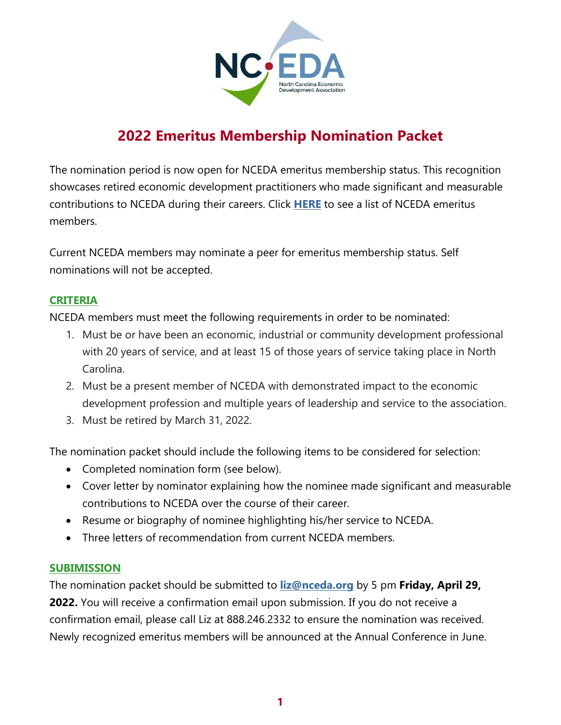

# **2022 Emeritus Membership Nomination Packet**

The nomination period is now open for NCEDA emeritus membership status. This recognition showcases retired economic development practitioners who made significant and measurable contributions to NCEDA during their careers. Click **[HERE](https://nceda.org/membership/emeritus-membership/)** to see a list of NCEDA emeritus members.

Current NCEDA members may nominate a peer for emeritus membership status. Self nominations will not be accepted.

### **CRITERIA**

NCEDA members must meet the following requirements in order to be nominated:

- 1. Must be or have been an economic, industrial or community development professional with 20 years of service, and at least 15 of those years of service taking place in North Carolina.
- 2. Must be a present member of NCEDA with demonstrated impact to the economic development profession and multiple years of leadership and service to the association.
- 3. Must be retired by March 31, 2022.

The nomination packet should include the following items to be considered for selection:

- Completed nomination form (see below).
- Cover letter by nominator explaining how the nominee made significant and measurable contributions to NCEDA over the course of their career.
- Resume or biography of nominee highlighting his/her service to NCEDA.
- Three letters of recommendation from current NCEDA members.

#### **SUBIMISSION**

The nomination packet should be submitted to **[liz@nceda.org](mailto:liz@nceda.org)** by 5 pm **Friday, April 29, 2022.** You will receive a confirmation email upon submission. If you do not receive a confirmation email, please call Liz at 888.246.2332 to ensure the nomination was received. Newly recognized emeritus members will be announced at the Annual Conference in June.